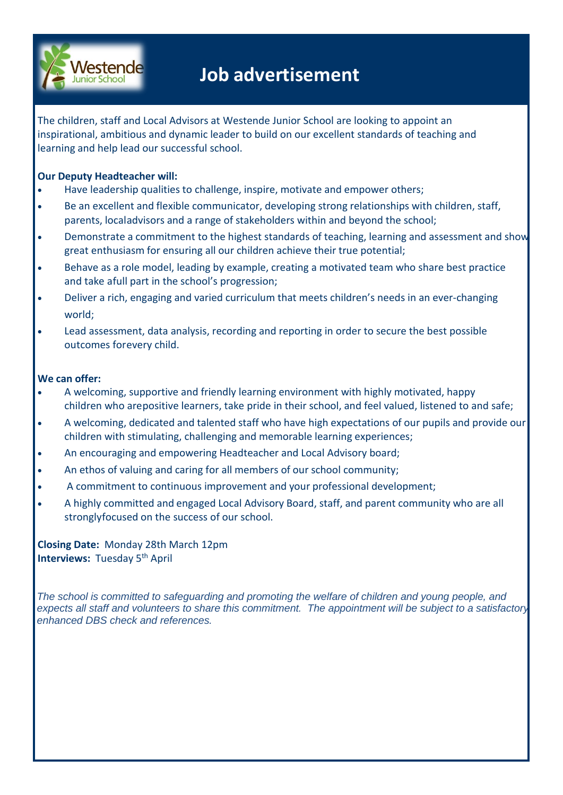

# **Job advertisement**

The children, staff and Local Advisors at Westende Junior School are looking to appoint an inspirational, ambitious and dynamic leader to build on our excellent standards of teaching and learning and help lead our successful school.

#### **Our Deputy Headteacher will:**

- Have leadership qualities to challenge, inspire, motivate and empower others;
- Be an excellent and flexible communicator, developing strong relationships with children, staff, parents, localadvisors and a range of stakeholders within and beyond the school;
- Demonstrate a commitment to the highest standards of teaching, learning and assessment and show great enthusiasm for ensuring all our children achieve their true potential;
- Behave as a role model, leading by example, creating a motivated team who share best practice and take afull part in the school's progression;
- Deliver a rich, engaging and varied curriculum that meets children's needs in an ever-changing world;
- Lead assessment, data analysis, recording and reporting in order to secure the best possible outcomes forevery child.

#### **We can offer:**

- A welcoming, supportive and friendly learning environment with highly motivated, happy children who arepositive learners, take pride in their school, and feel valued, listened to and safe;
- A welcoming, dedicated and talented staff who have high expectations of our pupils and provide our children with stimulating, challenging and memorable learning experiences;
- An encouraging and empowering Headteacher and Local Advisory board;
- An ethos of valuing and caring for all members of our school community;
- A commitment to continuous improvement and your professional development;
- A highly committed and engaged Local Advisory Board, staff, and parent community who are all stronglyfocused on the success of our school.

**Closing Date:** Monday 28th March 12pm **Interviews: Tuesday 5<sup>th</sup> April** 

*The school is committed to safeguarding and promoting the welfare of children and young people, and expects all staff and volunteers to share this commitment. The appointment will be subject to a satisfactory enhanced DBS check and references.*